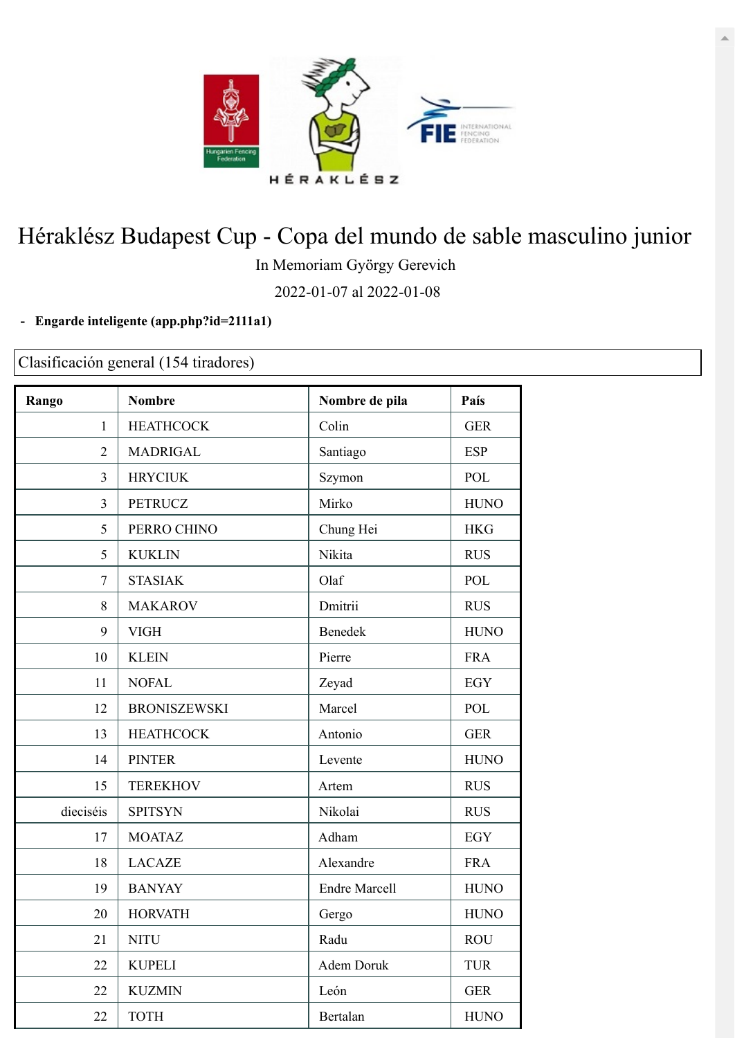

## Héraklész Budapest Cup - Copa del mundo de sable masculino junior

In Memoriam György Gerevich

2022-01-07 al 2022-01-08

## **- Engarde inteligente [\(app.php?id=2111a1\)](https://engarde-service.com/app.php?id=2111a1)**

Clasificación general (154 tiradores)

| Rango          | <b>Nombre</b>       | Nombre de pila       | País        |
|----------------|---------------------|----------------------|-------------|
| $\mathbf{1}$   | <b>HEATHCOCK</b>    | Colin                | <b>GER</b>  |
| $\overline{2}$ | <b>MADRIGAL</b>     | Santiago             | <b>ESP</b>  |
| 3              | <b>HRYCIUK</b>      | Szymon               | POL         |
| $\overline{3}$ | <b>PETRUCZ</b>      | Mirko                | <b>HUNO</b> |
| 5              | PERRO CHINO         | Chung Hei            | <b>HKG</b>  |
| 5              | <b>KUKLIN</b>       | Nikita               | <b>RUS</b>  |
| $\tau$         | <b>STASIAK</b>      | Olaf                 | POL         |
| 8              | <b>MAKAROV</b>      | Dmitrii              | <b>RUS</b>  |
| 9              | <b>VIGH</b>         | Benedek              | <b>HUNO</b> |
| 10             | <b>KLEIN</b>        | Pierre               | <b>FRA</b>  |
| 11             | <b>NOFAL</b>        | Zeyad                | <b>EGY</b>  |
| 12             | <b>BRONISZEWSKI</b> | Marcel               | <b>POL</b>  |
| 13             | <b>HEATHCOCK</b>    | Antonio              | <b>GER</b>  |
| 14             | <b>PINTER</b>       | Levente              | <b>HUNO</b> |
| 15             | <b>TEREKHOV</b>     | Artem                | <b>RUS</b>  |
| dieciséis      | <b>SPITSYN</b>      | Nikolai              | <b>RUS</b>  |
| 17             | <b>MOATAZ</b>       | Adham                | <b>EGY</b>  |
| 18             | <b>LACAZE</b>       | Alexandre            | <b>FRA</b>  |
| 19             | <b>BANYAY</b>       | <b>Endre Marcell</b> | <b>HUNO</b> |
| 20             | <b>HORVATH</b>      | Gergo                | <b>HUNO</b> |
| 21             | <b>NITU</b>         | Radu                 | <b>ROU</b>  |
| 22             | <b>KUPELI</b>       | Adem Doruk           | <b>TUR</b>  |
| 22             | <b>KUZMIN</b>       | León                 | <b>GER</b>  |
| 22             | <b>TOTH</b>         | Bertalan             | <b>HUNO</b> |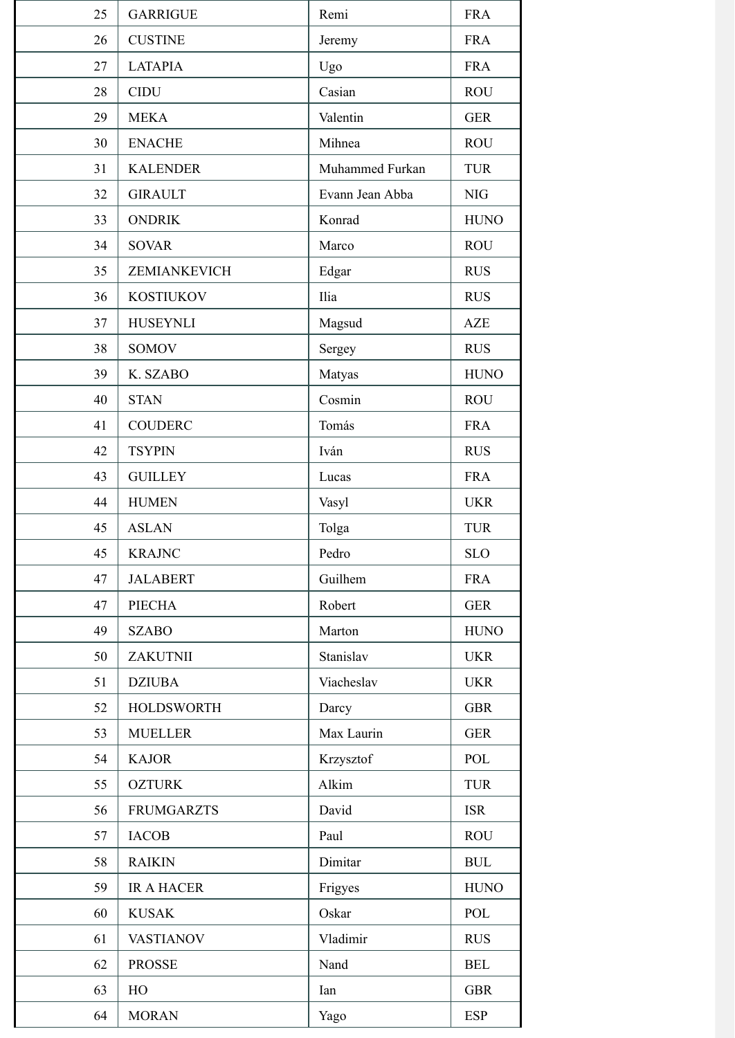| 25 | <b>GARRIGUE</b>   | Remi            | <b>FRA</b>  |
|----|-------------------|-----------------|-------------|
| 26 | <b>CUSTINE</b>    | Jeremy          | <b>FRA</b>  |
| 27 | <b>LATAPIA</b>    | Ugo             | <b>FRA</b>  |
| 28 | <b>CIDU</b>       | Casian          | <b>ROU</b>  |
| 29 | <b>MEKA</b>       | Valentin        | <b>GER</b>  |
| 30 | <b>ENACHE</b>     | Mihnea          | <b>ROU</b>  |
| 31 | <b>KALENDER</b>   | Muhammed Furkan | <b>TUR</b>  |
| 32 | <b>GIRAULT</b>    | Evann Jean Abba | $\rm NIG$   |
| 33 | <b>ONDRIK</b>     | Konrad          | <b>HUNO</b> |
| 34 | <b>SOVAR</b>      | Marco           | <b>ROU</b>  |
| 35 | ZEMIANKEVICH      | Edgar           | <b>RUS</b>  |
| 36 | <b>KOSTIUKOV</b>  | Ilia            | <b>RUS</b>  |
| 37 | <b>HUSEYNLI</b>   | Magsud          | <b>AZE</b>  |
| 38 | <b>SOMOV</b>      | Sergey          | <b>RUS</b>  |
| 39 | K. SZABO          | Matyas          | <b>HUNO</b> |
| 40 | <b>STAN</b>       | Cosmin          | <b>ROU</b>  |
| 41 | <b>COUDERC</b>    | Tomás           | <b>FRA</b>  |
| 42 | <b>TSYPIN</b>     | Iván            | <b>RUS</b>  |
| 43 | <b>GUILLEY</b>    | Lucas           | <b>FRA</b>  |
| 44 | <b>HUMEN</b>      | Vasyl           | <b>UKR</b>  |
| 45 | <b>ASLAN</b>      | Tolga           | <b>TUR</b>  |
| 45 | <b>KRAJNC</b>     | Pedro           | <b>SLO</b>  |
| 47 | <b>JALABERT</b>   | Guilhem         | <b>FRA</b>  |
| 47 | PIECHA            | Robert          | <b>GER</b>  |
| 49 | <b>SZABO</b>      | Marton          | <b>HUNO</b> |
| 50 | ZAKUTNII          | Stanislav       | <b>UKR</b>  |
| 51 | <b>DZIUBA</b>     | Viacheslav      | <b>UKR</b>  |
| 52 | <b>HOLDSWORTH</b> | Darcy           | <b>GBR</b>  |
| 53 | <b>MUELLER</b>    | Max Laurin      | <b>GER</b>  |
| 54 | <b>KAJOR</b>      | Krzysztof       | POL         |
| 55 | <b>OZTURK</b>     | Alkim           | <b>TUR</b>  |
| 56 | <b>FRUMGARZTS</b> | David           | <b>ISR</b>  |
| 57 | <b>IACOB</b>      | Paul            | <b>ROU</b>  |
| 58 | <b>RAIKIN</b>     | Dimitar         | <b>BUL</b>  |
| 59 | <b>IR A HACER</b> | Frigyes         | <b>HUNO</b> |
| 60 | <b>KUSAK</b>      | Oskar           | POL         |
| 61 | <b>VASTIANOV</b>  | Vladimir        | <b>RUS</b>  |
| 62 | <b>PROSSE</b>     | Nand            | <b>BEL</b>  |
| 63 | HO                | Ian             | <b>GBR</b>  |
| 64 | <b>MORAN</b>      | Yago            | <b>ESP</b>  |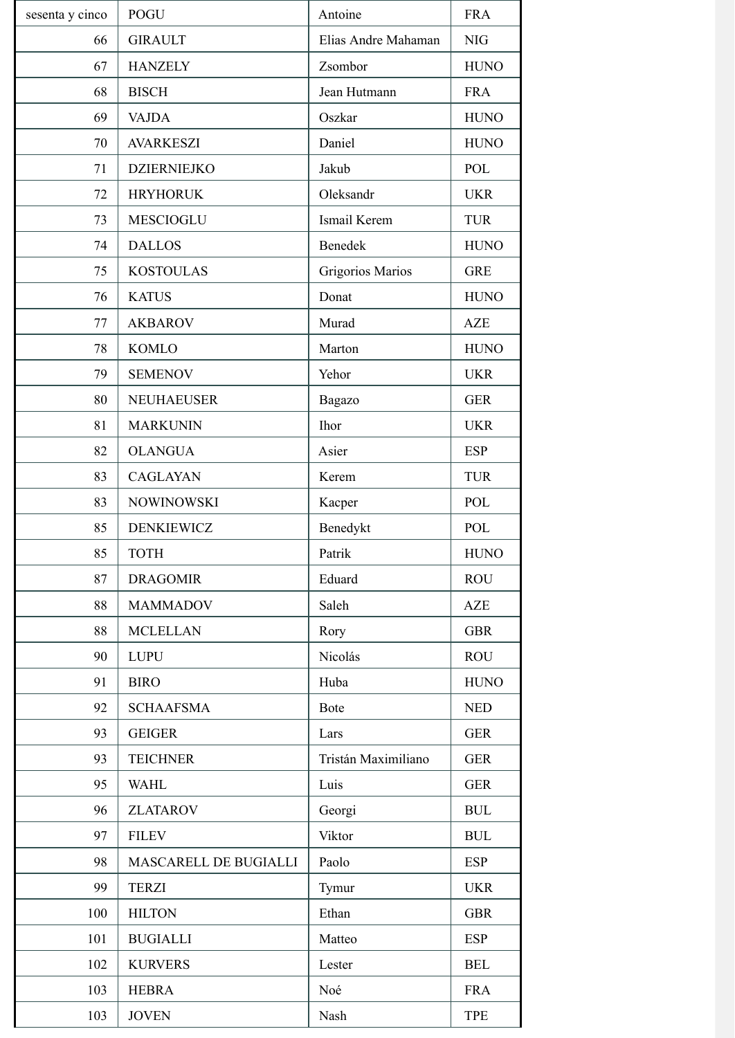| sesenta y cinco | <b>POGU</b>           | Antoine             | <b>FRA</b>  |
|-----------------|-----------------------|---------------------|-------------|
| 66              | <b>GIRAULT</b>        | Elias Andre Mahaman | <b>NIG</b>  |
| 67              | <b>HANZELY</b>        | Zsombor             | <b>HUNO</b> |
| 68              | <b>BISCH</b>          | Jean Hutmann        | <b>FRA</b>  |
| 69              | <b>VAJDA</b>          | Oszkar              | <b>HUNO</b> |
| 70              | <b>AVARKESZI</b>      | Daniel              | <b>HUNO</b> |
| 71              | <b>DZIERNIEJKO</b>    | Jakub               | POL         |
| 72              | <b>HRYHORUK</b>       | Oleksandr           | <b>UKR</b>  |
| 73              | <b>MESCIOGLU</b>      | Ismail Kerem        | <b>TUR</b>  |
| 74              | <b>DALLOS</b>         | Benedek             | <b>HUNO</b> |
| 75              | <b>KOSTOULAS</b>      | Grigorios Marios    | <b>GRE</b>  |
| 76              | <b>KATUS</b>          | Donat               | <b>HUNO</b> |
| 77              | <b>AKBAROV</b>        | Murad               | <b>AZE</b>  |
| 78              | <b>KOMLO</b>          | Marton              | <b>HUNO</b> |
| 79              | <b>SEMENOV</b>        | Yehor               | <b>UKR</b>  |
| 80              | <b>NEUHAEUSER</b>     | Bagazo              | <b>GER</b>  |
| 81              | <b>MARKUNIN</b>       | <b>Ihor</b>         | <b>UKR</b>  |
| 82              | <b>OLANGUA</b>        | Asier               | <b>ESP</b>  |
| 83              | <b>CAGLAYAN</b>       | Kerem               | <b>TUR</b>  |
| 83              | <b>NOWINOWSKI</b>     | Kacper              | POL         |
| 85              | <b>DENKIEWICZ</b>     | Benedykt            | POL         |
| 85              | <b>TOTH</b>           | Patrik              | <b>HUNO</b> |
| 87              | <b>DRAGOMIR</b>       | Eduard              | <b>ROU</b>  |
| 88              | <b>MAMMADOV</b>       | Saleh               | <b>AZE</b>  |
| 88              | <b>MCLELLAN</b>       | Rory                | <b>GBR</b>  |
| 90              | <b>LUPU</b>           | Nicolás             | <b>ROU</b>  |
| 91              | <b>BIRO</b>           | Huba                | <b>HUNO</b> |
| 92              | <b>SCHAAFSMA</b>      | Bote                | <b>NED</b>  |
| 93              | <b>GEIGER</b>         | Lars                | <b>GER</b>  |
| 93              | <b>TEICHNER</b>       | Tristán Maximiliano | <b>GER</b>  |
| 95              | <b>WAHL</b>           | Luis                | <b>GER</b>  |
| 96              | <b>ZLATAROV</b>       | Georgi              | <b>BUL</b>  |
| 97              | <b>FILEV</b>          | Viktor              | <b>BUL</b>  |
| 98              | MASCARELL DE BUGIALLI | Paolo               | <b>ESP</b>  |
| 99              | <b>TERZI</b>          | Tymur               | <b>UKR</b>  |
| 100             | <b>HILTON</b>         | Ethan               | <b>GBR</b>  |
| 101             | <b>BUGIALLI</b>       | Matteo              | <b>ESP</b>  |
| 102             | <b>KURVERS</b>        | Lester              | <b>BEL</b>  |
| 103             | <b>HEBRA</b>          | Noé                 | <b>FRA</b>  |
| 103             | <b>JOVEN</b>          | Nash                | <b>TPE</b>  |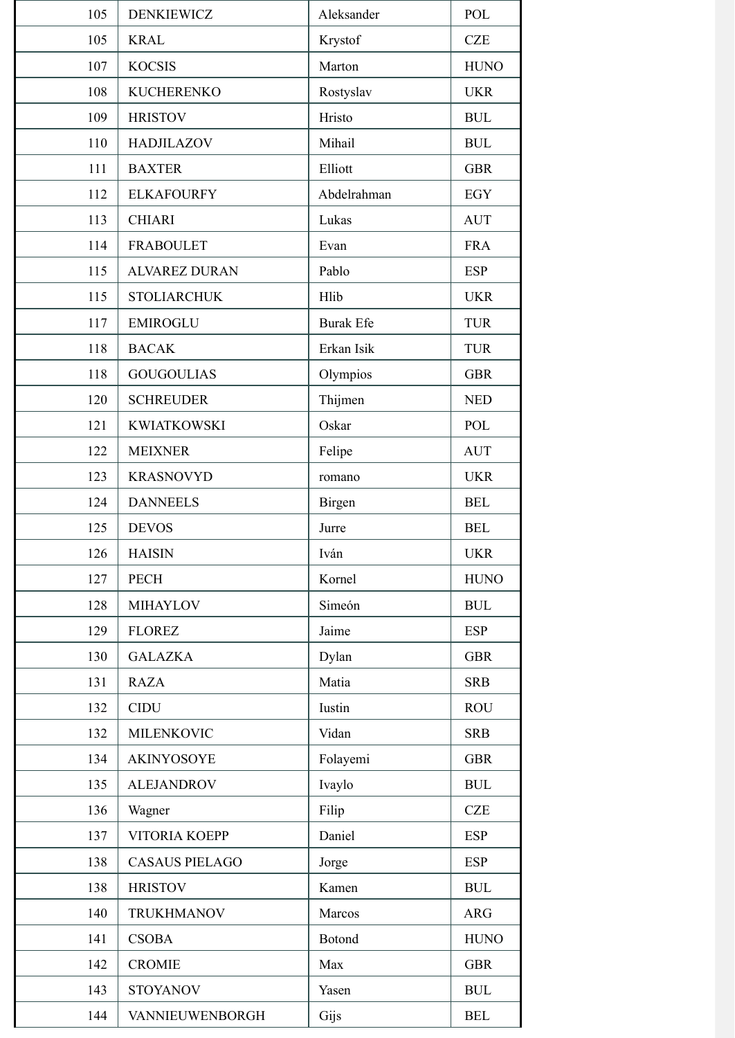| 105 | <b>DENKIEWICZ</b>     | Aleksander       | POL         |
|-----|-----------------------|------------------|-------------|
| 105 | <b>KRAL</b>           | Krystof          | <b>CZE</b>  |
| 107 | <b>KOCSIS</b>         | Marton           | <b>HUNO</b> |
| 108 | <b>KUCHERENKO</b>     | Rostyslav        | <b>UKR</b>  |
| 109 | <b>HRISTOV</b>        | Hristo           | <b>BUL</b>  |
| 110 | <b>HADJILAZOV</b>     | Mihail           | <b>BUL</b>  |
| 111 | <b>BAXTER</b>         | Elliott          | <b>GBR</b>  |
| 112 | <b>ELKAFOURFY</b>     | Abdelrahman      | EGY         |
| 113 | <b>CHIARI</b>         | Lukas            | <b>AUT</b>  |
| 114 | <b>FRABOULET</b>      | Evan             | <b>FRA</b>  |
| 115 | <b>ALVAREZ DURAN</b>  | Pablo            | <b>ESP</b>  |
| 115 | <b>STOLIARCHUK</b>    | Hlib             | <b>UKR</b>  |
| 117 | <b>EMIROGLU</b>       | <b>Burak Efe</b> | <b>TUR</b>  |
| 118 | <b>BACAK</b>          | Erkan Isik       | <b>TUR</b>  |
| 118 | <b>GOUGOULIAS</b>     | Olympios         | <b>GBR</b>  |
| 120 | <b>SCHREUDER</b>      | Thijmen          | <b>NED</b>  |
| 121 | <b>KWIATKOWSKI</b>    | Oskar            | POL         |
| 122 | <b>MEIXNER</b>        | Felipe           | <b>AUT</b>  |
| 123 | <b>KRASNOVYD</b>      | romano           | <b>UKR</b>  |
| 124 | <b>DANNEELS</b>       | Birgen           | <b>BEL</b>  |
| 125 | <b>DEVOS</b>          | Jurre            | <b>BEL</b>  |
| 126 | <b>HAISIN</b>         | Iván             | <b>UKR</b>  |
| 127 | PECH                  | Kornel           | <b>HUNO</b> |
| 128 | <b>MIHAYLOV</b>       | Simeón           | <b>BUL</b>  |
| 129 | <b>FLOREZ</b>         | Jaime            | <b>ESP</b>  |
| 130 | <b>GALAZKA</b>        | Dylan            | <b>GBR</b>  |
| 131 | <b>RAZA</b>           | Matia            | <b>SRB</b>  |
| 132 | <b>CIDU</b>           | Iustin           | <b>ROU</b>  |
| 132 | <b>MILENKOVIC</b>     | Vidan            | <b>SRB</b>  |
| 134 | <b>AKINYOSOYE</b>     | Folayemi         | <b>GBR</b>  |
| 135 | <b>ALEJANDROV</b>     | Ivaylo           | <b>BUL</b>  |
| 136 | Wagner                | Filip            | <b>CZE</b>  |
| 137 | VITORIA KOEPP         | Daniel           | <b>ESP</b>  |
| 138 | <b>CASAUS PIELAGO</b> | Jorge            | <b>ESP</b>  |
| 138 | <b>HRISTOV</b>        | Kamen            | <b>BUL</b>  |
| 140 | <b>TRUKHMANOV</b>     | Marcos           | <b>ARG</b>  |
| 141 | <b>CSOBA</b>          | Botond           | <b>HUNO</b> |
| 142 | <b>CROMIE</b>         | Max              | <b>GBR</b>  |
| 143 | <b>STOYANOV</b>       | Yasen            | <b>BUL</b>  |
| 144 | VANNIEUWENBORGH       | Gijs             | <b>BEL</b>  |